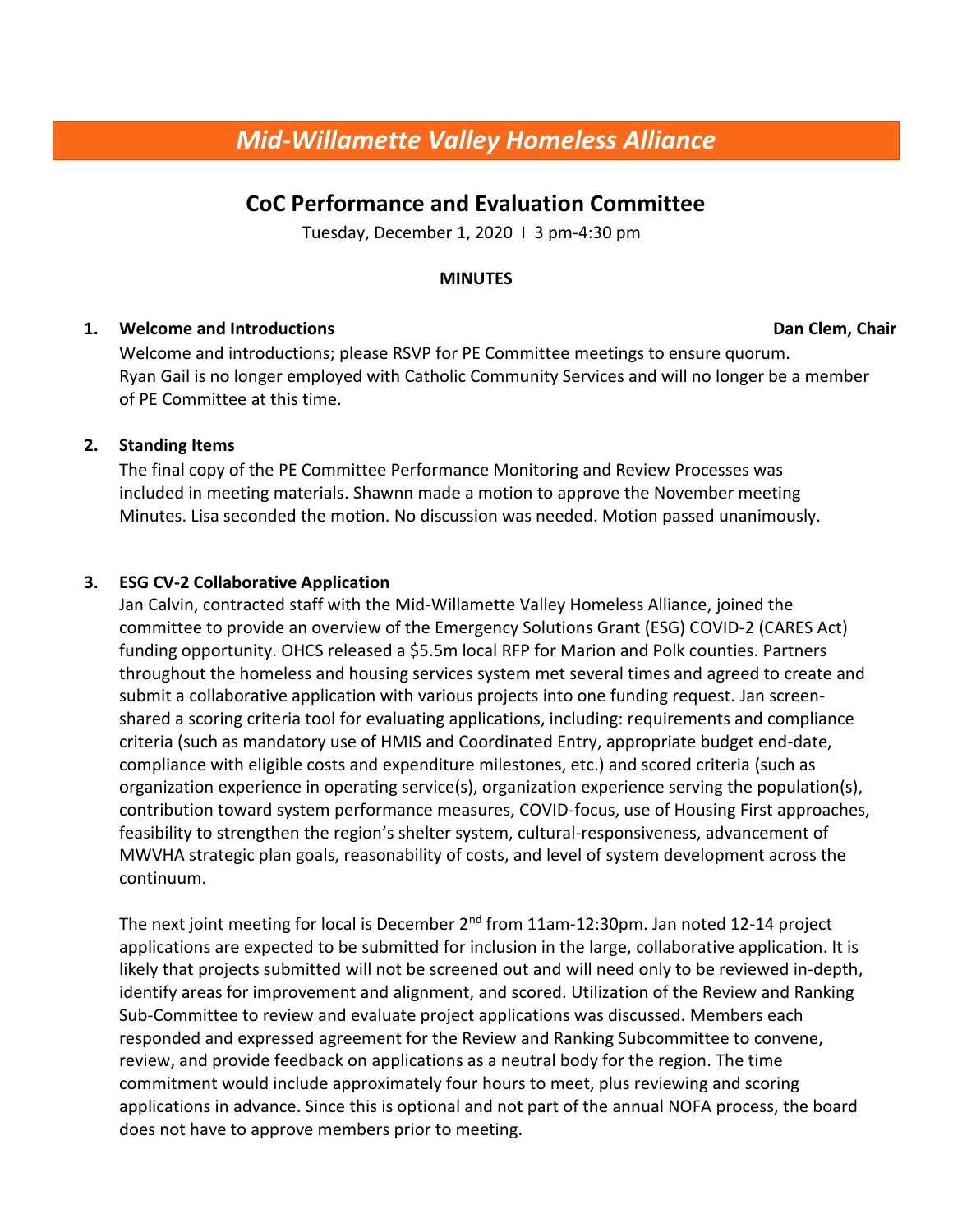# **CoC Performance and Evaluation Committee**

Tuesday, December 1, 2020 I 3 pm-4:30 pm

#### **MINUTES**

#### **1. Welcome and Introductions Dan Clem, Chair Dan Clem, Chair Dan Clem, Chair**

Welcome and introductions; please RSVP for PE Committee meetings to ensure quorum. Ryan Gail is no longer employed with Catholic Community Services and will no longer be a member of PE Committee at this time.

### **2. Standing Items**

The final copy of the PE Committee Performance Monitoring and Review Processes was included in meeting materials. Shawnn made a motion to approve the November meeting Minutes. Lisa seconded the motion. No discussion was needed. Motion passed unanimously.

# **3. ESG CV-2 Collaborative Application**

Jan Calvin, contracted staff with the Mid-Willamette Valley Homeless Alliance, joined the committee to provide an overview of the Emergency Solutions Grant (ESG) COVID-2 (CARES Act) funding opportunity. OHCS released a \$5.5m local RFP for Marion and Polk counties. Partners throughout the homeless and housing services system met several times and agreed to create and submit a collaborative application with various projects into one funding request. Jan screenshared a scoring criteria tool for evaluating applications, including: requirements and compliance criteria (such as mandatory use of HMIS and Coordinated Entry, appropriate budget end-date, compliance with eligible costs and expenditure milestones, etc.) and scored criteria (such as organization experience in operating service(s), organization experience serving the population(s), contribution toward system performance measures, COVID-focus, use of Housing First approaches, feasibility to strengthen the region's shelter system, cultural-responsiveness, advancement of MWVHA strategic plan goals, reasonability of costs, and level of system development across the continuum.

The next joint meeting for local is December 2<sup>nd</sup> from 11am-12:30pm. Jan noted 12-14 project applications are expected to be submitted for inclusion in the large, collaborative application. It is likely that projects submitted will not be screened out and will need only to be reviewed in-depth, identify areas for improvement and alignment, and scored. Utilization of the Review and Ranking Sub-Committee to review and evaluate project applications was discussed. Members each responded and expressed agreement for the Review and Ranking Subcommittee to convene, review, and provide feedback on applications as a neutral body for the region. The time commitment would include approximately four hours to meet, plus reviewing and scoring applications in advance. Since this is optional and not part of the annual NOFA process, the board does not have to approve members prior to meeting.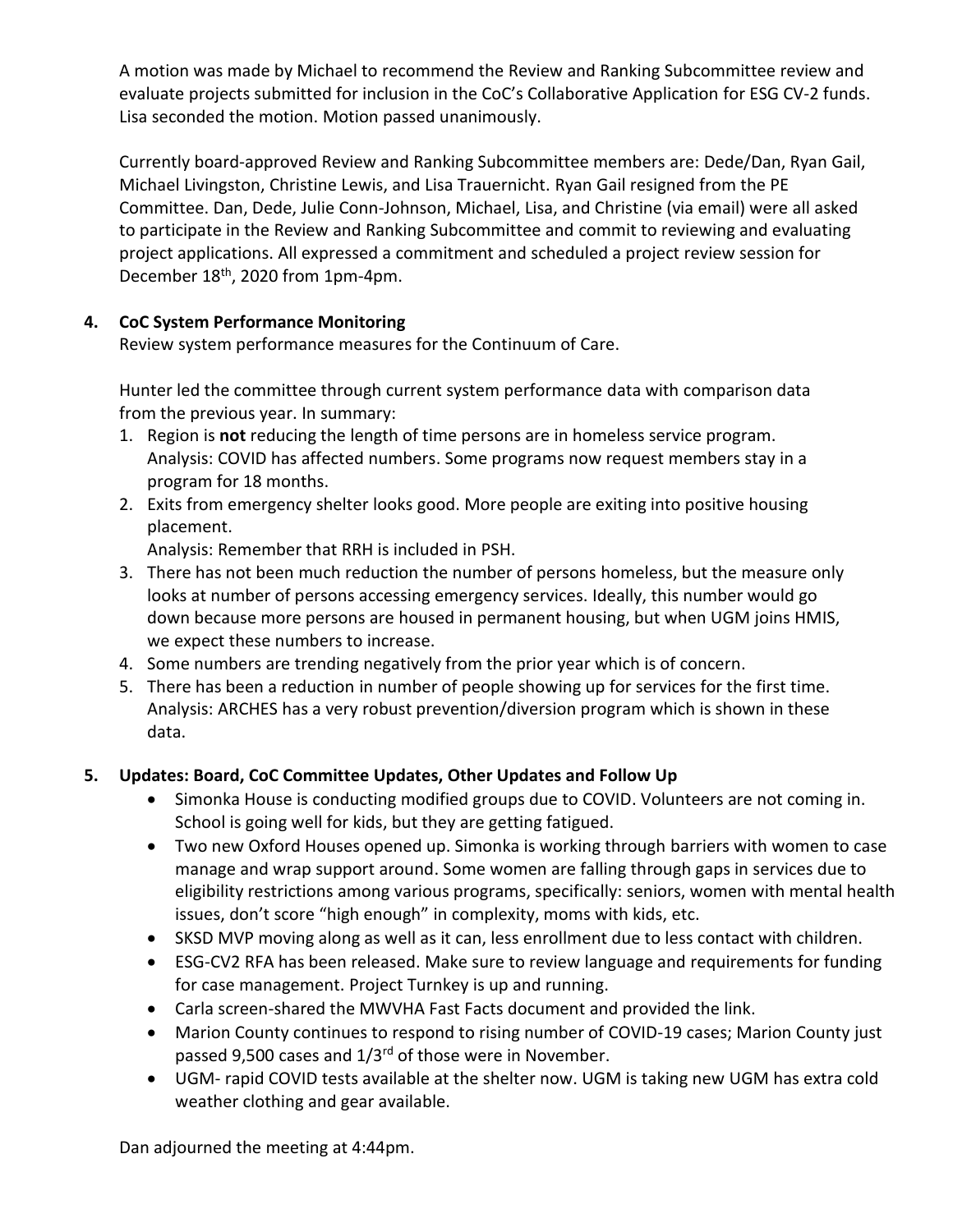A motion was made by Michael to recommend the Review and Ranking Subcommittee review and evaluate projects submitted for inclusion in the CoC's Collaborative Application for ESG CV-2 funds. Lisa seconded the motion. Motion passed unanimously.

Currently board-approved Review and Ranking Subcommittee members are: Dede/Dan, Ryan Gail, Michael Livingston, Christine Lewis, and Lisa Trauernicht. Ryan Gail resigned from the PE Committee. Dan, Dede, Julie Conn-Johnson, Michael, Lisa, and Christine (via email) were all asked to participate in the Review and Ranking Subcommittee and commit to reviewing and evaluating project applications. All expressed a commitment and scheduled a project review session for December 18<sup>th</sup>, 2020 from 1pm-4pm.

### **4. CoC System Performance Monitoring**

Review system performance measures for the Continuum of Care.

Hunter led the committee through current system performance data with comparison data from the previous year. In summary:

- 1. Region is **not** reducing the length of time persons are in homeless service program. Analysis: COVID has affected numbers. Some programs now request members stay in a program for 18 months.
- 2. Exits from emergency shelter looks good. More people are exiting into positive housing placement.

Analysis: Remember that RRH is included in PSH.

- 3. There has not been much reduction the number of persons homeless, but the measure only looks at number of persons accessing emergency services. Ideally, this number would go down because more persons are housed in permanent housing, but when UGM joins HMIS, we expect these numbers to increase.
- 4. Some numbers are trending negatively from the prior year which is of concern.
- 5. There has been a reduction in number of people showing up for services for the first time. Analysis: ARCHES has a very robust prevention/diversion program which is shown in these data.

# **5. Updates: Board, CoC Committee Updates, Other Updates and Follow Up**

- Simonka House is conducting modified groups due to COVID. Volunteers are not coming in. School is going well for kids, but they are getting fatigued.
- Two new Oxford Houses opened up. Simonka is working through barriers with women to case manage and wrap support around. Some women are falling through gaps in services due to eligibility restrictions among various programs, specifically: seniors, women with mental health issues, don't score "high enough" in complexity, moms with kids, etc.
- SKSD MVP moving along as well as it can, less enrollment due to less contact with children.
- ESG-CV2 RFA has been released. Make sure to review language and requirements for funding for case management. Project Turnkey is up and running.
- Carla screen-shared the MWVHA Fast Facts document and provided the link.
- Marion County continues to respond to rising number of COVID-19 cases; Marion County just passed 9,500 cases and 1/3<sup>rd</sup> of those were in November.
- UGM- rapid COVID tests available at the shelter now. UGM is taking new UGM has extra cold weather clothing and gear available.

Dan adjourned the meeting at 4:44pm.